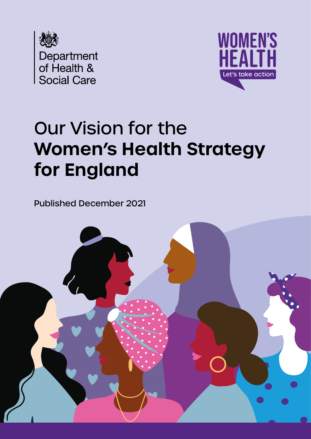



# Our Vision for the **Women's Health Strategy for England**

Published December 2021

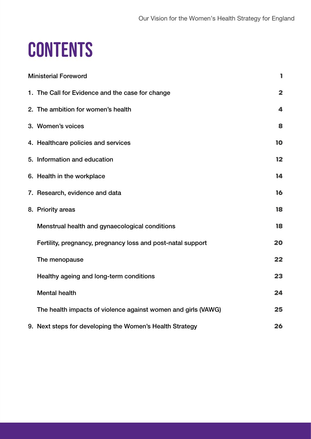# **CONTENTS**

| <b>Ministerial Foreword</b> |                                                               | 1                       |
|-----------------------------|---------------------------------------------------------------|-------------------------|
|                             | 1. The Call for Evidence and the case for change              | $\overline{\mathbf{2}}$ |
|                             | 2. The ambition for women's health                            | 4                       |
|                             | 3. Women's voices                                             | 8                       |
|                             | 4. Healthcare policies and services                           | 10                      |
|                             | 5. Information and education                                  | 12                      |
|                             | 6. Health in the workplace                                    | 14                      |
|                             | 7. Research, evidence and data                                | 16                      |
|                             | 8. Priority areas                                             | 18                      |
|                             | Menstrual health and gynaecological conditions                | 18                      |
|                             | Fertility, pregnancy, pregnancy loss and post-natal support   | 20                      |
|                             | The menopause                                                 | 22                      |
|                             | Healthy ageing and long-term conditions                       | 23                      |
|                             | <b>Mental health</b>                                          | 24                      |
|                             | The health impacts of violence against women and girls (VAWG) | 25                      |
|                             | 9. Next steps for developing the Women's Health Strategy      | 26                      |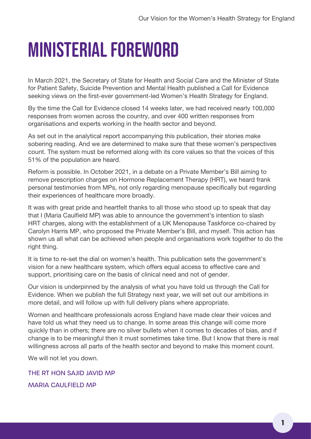# <span id="page-4-0"></span>Ministerial Foreword

In March 2021, the Secretary of State for Health and Social Care and the Minister of State for Patient Safety, Suicide Prevention and Mental Health published a Call for Evidence seeking views on the first-ever government-led Women's Health Strategy for England.

By the time the Call for Evidence closed 14 weeks later, we had received nearly 100,000 responses from women across the country, and over 400 written responses from organisations and experts working in the health sector and beyond.

As set out in the analytical report accompanying this publication, their stories make sobering reading. And we are determined to make sure that these women's perspectives count. The system must be reformed along with its core values so that the voices of this 51% of the population are heard.

Reform is possible. In October 2021, in a debate on a Private Member's Bill aiming to remove prescription charges on Hormone Replacement Therapy (HRT), we heard frank personal testimonies from MPs, not only regarding menopause specifically but regarding their experiences of healthcare more broadly.

It was with great pride and heartfelt thanks to all those who stood up to speak that day that I (Maria Caulfield MP) was able to announce the government's intention to slash HRT charges, along with the establishment of a UK Menopause Taskforce co-chaired by Carolyn Harris MP, who proposed the Private Member's Bill, and myself. This action has shown us all what can be achieved when people and organisations work together to do the right thing.

It is time to re-set the dial on women's health. This publication sets the government's vision for a new healthcare system, which offers equal access to effective care and support, prioritising care on the basis of clinical need and not of gender.

Our vision is underpinned by the analysis of what you have told us through the Call for Evidence. When we publish the full Strategy next year, we will set out our ambitions in more detail, and will follow up with full delivery plans where appropriate.

Women and healthcare professionals across England have made clear their voices and have told us what they need us to change. In some areas this change will come more quickly than in others; there are no silver bullets when it comes to decades of bias, and if change is to be meaningful then it must sometimes take time. But I know that there is real willingness across all parts of the health sector and beyond to make this moment count.

We will not let you down.

THE RT HON SAJID JAVID MP MARIA CAULFIELD MP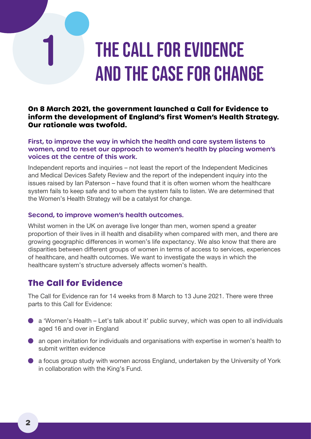# <span id="page-5-0"></span>THE CALL FOR EVIDENCE and the case for change

#### **On 8 March 2021, the government launched a Call for Evidence to inform the development of England's first Women's Health Strategy. Our rationale was twofold.**

#### **First, to improve the way in which the health and care system listens to women, and to reset our approach to women's health by placing women's voices at the centre of this work.**

Independent reports and inquiries – not least the report of the Independent Medicines and Medical Devices Safety Review and the report of the independent inquiry into the issues raised by Ian Paterson – have found that it is often women whom the healthcare system fails to keep safe and to whom the system fails to listen. We are determined that the Women's Health Strategy will be a catalyst for change.

#### **Second, to improve women's health outcomes.**

Whilst women in the UK on average live longer than men, women spend a greater proportion of their lives in ill health and disability when compared with men, and there are growing geographic differences in women's life expectancy. We also know that there are disparities between different groups of women in terms of access to services, experiences of healthcare, and health outcomes. We want to investigate the ways in which the healthcare system's structure adversely affects women's health.

### **The Call for Evidence**

The Call for Evidence ran for 14 weeks from 8 March to 13 June 2021. There were three parts to this Call for Evidence:

- Q a 'Women's Health Let's talk about it' public survey, which was open to all individuals aged 16 and over in England
- Q an open invitation for individuals and organisations with expertise in women's health to submit written evidence
- Q a focus group study with women across England, undertaken by the University of York in collaboration with the King's Fund.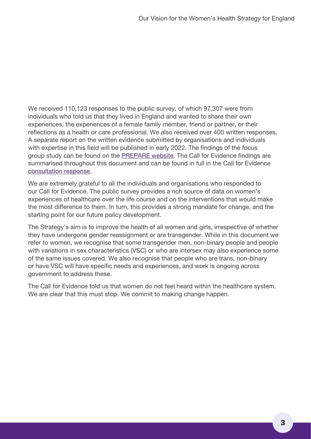We received 110,123 responses to the public survey, of which 97,307 were from individuals who told us that they lived in England and wanted to share their own experiences, the experiences of a female family member, friend or partner, or their reflections as a health or care professional. We also received over 400 written responses. A separate report on the written evidence submitted by organisations and individuals with expertise in this field will be published in early 2022. The findings of the focus group study can be found on the **PREPARE** website. The Call for Evidence findings are summarised throughout this document and can be found in full in the Call for Evidence [consultation response](https://www.gov.uk/government/consultations/womens-health-strategy-call-for-evidence).

We are extremely grateful to all the individuals and organisations who responded to our Call for Evidence. The public survey provides a rich source of data on women's experiences of healthcare over the life course and on the interventions that would make the most difference to them. In turn, this provides a strong mandate for change, and the starting point for our future policy development.

The Strategy's aim is to improve the health of all women and girls, irrespective of whether they have undergone gender reassignment or are transgender. While in this document we refer to women, we recognise that some transgender men, non-binary people and people with variations in sex characteristics (VSC) or who are intersex may also experience some of the same issues covered. We also recognise that people who are trans, non-binary or have VSC will have specific needs and experiences, and work is ongoing across government to address these.

The Call for Evidence told us that women do not feel heard within the healthcare system. We are clear that this must stop. We commit to making change happen.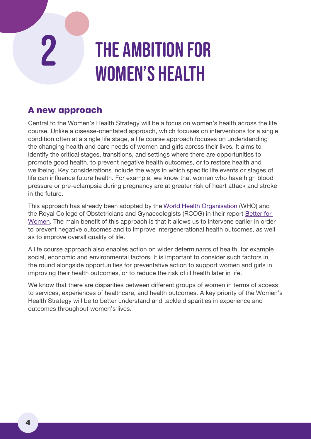# <span id="page-7-0"></span>THE AMBITION FOR women's health

### **A new approach**

Central to the Women's Health Strategy will be a focus on women's health across the life course. Unlike a disease-orientated approach, which focuses on interventions for a single condition often at a single life stage, a life course approach focuses on understanding the changing health and care needs of women and girls across their lives. It aims to identify the critical stages, transitions, and settings where there are opportunities to promote good health, to prevent negative health outcomes, or to restore health and wellbeing. Key considerations include the ways in which specific life events or stages of life can influence future health. For example, we know that women who have high blood pressure or pre-eclampsia during pregnancy are at greater risk of heart attack and stroke in the future.

This approach has already been adopted by the [World Health Organisation](https://www.euro.who.int/en/health-topics/Life-stages) (WHO) and the Royal College of Obstetricians and Gynaecologists (RCOG) in their report [Better for](https://www.rcog.org.uk/better-for-women)  [Women](https://www.rcog.org.uk/better-for-women). The main benefit of this approach is that it allows us to intervene earlier in order to prevent negative outcomes and to improve intergenerational health outcomes, as well as to improve overall quality of life.

A life course approach also enables action on wider determinants of health, for example social, economic and environmental factors. It is important to consider such factors in the round alongside opportunities for preventative action to support women and girls in improving their health outcomes, or to reduce the risk of ill health later in life.

We know that there are disparities between different groups of women in terms of access to services, experiences of healthcare, and health outcomes. A key priority of the Women's Health Strategy will be to better understand and tackle disparities in experience and outcomes throughout women's lives.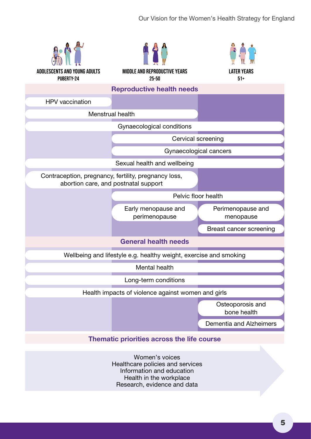

Women's voices Healthcare policies and services Information and education Health in the workplace Research, evidence and data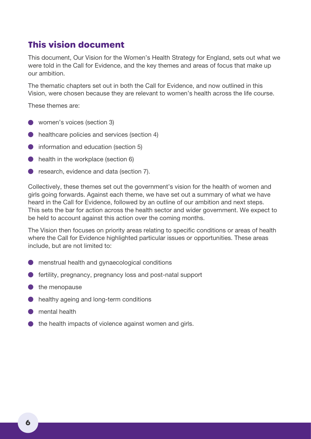### **This vision document**

This document, Our Vision for the Women's Health Strategy for England, sets out what we were told in the Call for Evidence, and the key themes and areas of focus that make up our ambition.

The thematic chapters set out in both the Call for Evidence, and now outlined in this Vision, were chosen because they are relevant to women's health across the life course.

These themes are:

- Q women's voices (section 3)
- **●** healthcare policies and services (section 4)
- $\bullet$  information and education (section 5)
- **C** health in the workplace (section 6)
- **O** research, evidence and data (section 7).

Collectively, these themes set out the government's vision for the health of women and girls going forwards. Against each theme, we have set out a summary of what we have heard in the Call for Evidence, followed by an outline of our ambition and next steps. This sets the bar for action across the health sector and wider government. We expect to be held to account against this action over the coming months.

The Vision then focuses on priority areas relating to specific conditions or areas of health where the Call for Evidence highlighted particular issues or opportunities. These areas include, but are not limited to:

- Q menstrual health and gynaecological conditions
- Q fertility, pregnancy, pregnancy loss and post-natal support
- $\bullet$  the menopause
- **D** healthy ageing and long-term conditions
- mental health
- the health impacts of violence against women and girls.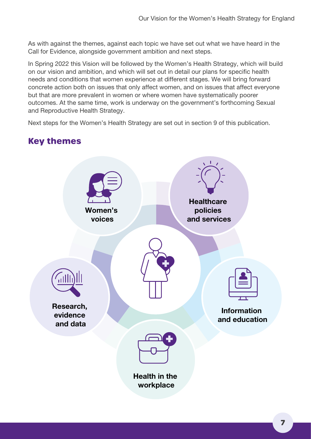As with against the themes, against each topic we have set out what we have heard in the Call for Evidence, alongside government ambition and next steps.

In Spring 2022 this Vision will be followed by the Women's Health Strategy, which will build on our vision and ambition, and which will set out in detail our plans for specific health needs and conditions that women experience at different stages. We will bring forward concrete action both on issues that only affect women, and on issues that affect everyone but that are more prevalent in women or where women have systematically poorer outcomes. At the same time, work is underway on the government's forthcoming Sexual and Reproductive Health Strategy.

Next steps for the Women's Health Strategy are set out in section 9 of this publication.

### **Key themes**

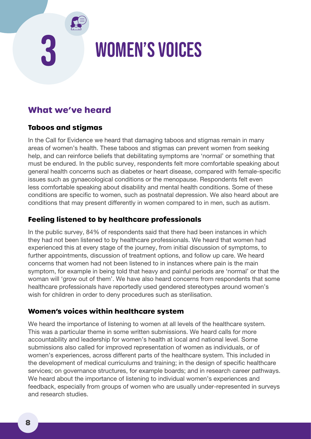# <span id="page-11-0"></span>3 Women's voices

### **What we've heard**

### **Taboos and stigmas**

In the Call for Evidence we heard that damaging taboos and stigmas remain in many areas of women's health. These taboos and stigmas can prevent women from seeking help, and can reinforce beliefs that debilitating symptoms are 'normal' or something that must be endured. In the public survey, respondents felt more comfortable speaking about general health concerns such as diabetes or heart disease, compared with female-specific issues such as gynaecological conditions or the menopause. Respondents felt even less comfortable speaking about disability and mental health conditions. Some of these conditions are specific to women, such as postnatal depression. We also heard about are conditions that may present differently in women compared to in men, such as autism.

### **Feeling listened to by healthcare professionals**

In the public survey, 84% of respondents said that there had been instances in which they had not been listened to by healthcare professionals. We heard that women had experienced this at every stage of the journey, from initial discussion of symptoms, to further appointments, discussion of treatment options, and follow up care. We heard concerns that women had not been listened to in instances where pain is the main symptom, for example in being told that heavy and painful periods are 'normal' or that the woman will 'grow out of them'. We have also heard concerns from respondents that some healthcare professionals have reportedly used gendered stereotypes around women's wish for children in order to deny procedures such as sterilisation.

#### **Women's voices within healthcare system**

We heard the importance of listening to women at all levels of the healthcare system. This was a particular theme in some written submissions. We heard calls for more accountability and leadership for women's health at local and national level. Some submissions also called for improved representation of women as individuals, or of women's experiences, across different parts of the healthcare system. This included in the development of medical curriculums and training; in the design of specific healthcare services; on governance structures, for example boards; and in research career pathways. We heard about the importance of listening to individual women's experiences and feedback, especially from groups of women who are usually under-represented in surveys and research studies.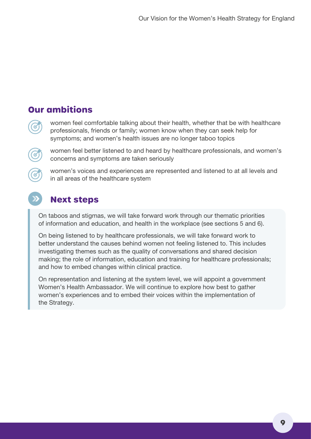### **Our ambitions**

women feel comfortable talking about their health, whether that be with healthcare professionals, friends or family; women know when they can seek help for symptoms; and women's health issues are no longer taboo topics



women feel better listened to and heard by healthcare professionals, and women's concerns and symptoms are taken seriously

women's voices and experiences are represented and listened to at all levels and in all areas of the healthcare system

### **Next steps**

On taboos and stigmas, we will take forward work through our thematic priorities of information and education, and health in the workplace (see sections 5 and 6).

On being listened to by healthcare professionals, we will take forward work to better understand the causes behind women not feeling listened to. This includes investigating themes such as the quality of conversations and shared decision making; the role of information, education and training for healthcare professionals; and how to embed changes within clinical practice.

On representation and listening at the system level, we will appoint a government Women's Health Ambassador. We will continue to explore how best to gather women's experiences and to embed their voices within the implementation of the Strategy.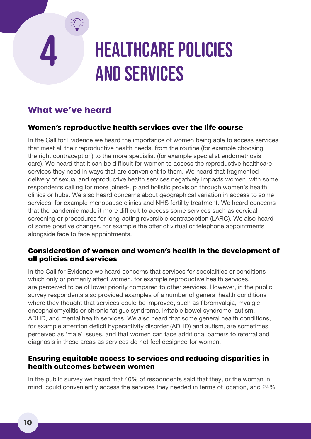# <span id="page-13-0"></span>4 Healthcare policies and services

### **What we've heard**

### **Women's reproductive health services over the life course**

In the Call for Evidence we heard the importance of women being able to access services that meet all their reproductive health needs, from the routine (for example choosing the right contraception) to the more specialist (for example specialist endometriosis care). We heard that it can be difficult for women to access the reproductive healthcare services they need in ways that are convenient to them. We heard that fragmented delivery of sexual and reproductive health services negatively impacts women, with some respondents calling for more joined-up and holistic provision through women's health clinics or hubs. We also heard concerns about geographical variation in access to some services, for example menopause clinics and NHS fertility treatment. We heard concerns that the pandemic made it more difficult to access some services such as cervical screening or procedures for long-acting reversible contraception (LARC). We also heard of some positive changes, for example the offer of virtual or telephone appointments alongside face to face appointments.

### **Consideration of women and women's health in the development of all policies and services**

In the Call for Evidence we heard concerns that services for specialities or conditions which only or primarily affect women, for example reproductive health services, are perceived to be of lower priority compared to other services. However, in the public survey respondents also provided examples of a number of general health conditions where they thought that services could be improved, such as fibromyalgia, myalgic encephalomyelitis or chronic fatigue syndrome, irritable bowel syndrome, autism, ADHD, and mental health services. We also heard that some general health conditions, for example attention deficit hyperactivity disorder (ADHD) and autism, are sometimes perceived as 'male' issues, and that women can face additional barriers to referral and diagnosis in these areas as services do not feel designed for women.

#### **Ensuring equitable access to services and reducing disparities in health outcomes between women**

In the public survey we heard that 40% of respondents said that they, or the woman in mind, could conveniently access the services they needed in terms of location, and 24%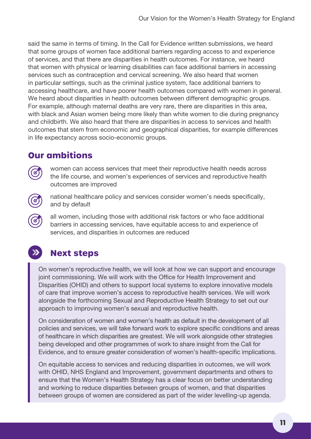said the same in terms of timing. In the Call for Evidence written submissions, we heard that some groups of women face additional barriers regarding access to and experience of services, and that there are disparities in health outcomes. For instance, we heard that women with physical or learning disabilities can face additional barriers in accessing services such as contraception and cervical screening. We also heard that women in particular settings, such as the criminal justice system, face additional barriers to accessing healthcare, and have poorer health outcomes compared with women in general. We heard about disparities in health outcomes between different demographic groups. For example, although maternal deaths are very rare, there are disparities in this area, with black and Asian women being more likely than white women to die during pregnancy and childbirth. We also heard that there are disparities in access to services and health outcomes that stem from economic and geographical disparities, for example differences in life expectancy across socio-economic groups.

### **Our ambitions**

women can access services that meet their reproductive health needs across the life course, and women's experiences of services and reproductive health outcomes are improved

national healthcare policy and services consider women's needs specifically, and by default

all women, including those with additional risk factors or who face additional barriers in accessing services, have equitable access to and experience of services, and disparities in outcomes are reduced

# $\sum$

# **Next steps**

On women's reproductive health, we will look at how we can support and encourage joint commissioning. We will work with the Office for Health Improvement and Disparities (OHID) and others to support local systems to explore innovative models of care that improve women's access to reproductive health services. We will work alongside the forthcoming Sexual and Reproductive Health Strategy to set out our approach to improving women's sexual and reproductive health.

On consideration of women and women's health as default in the development of all policies and services, we will take forward work to explore specific conditions and areas of healthcare in which disparities are greatest. We will work alongside other strategies being developed and other programmes of work to share insight from the Call for Evidence, and to ensure greater consideration of women's health-specific implications.

On equitable access to services and reducing disparities in outcomes, we will work with OHID, NHS England and Improvement, government departments and others to ensure that the Women's Health Strategy has a clear focus on better understanding and working to reduce disparities between groups of women, and that disparities between groups of women are considered as part of the wider levelling-up agenda.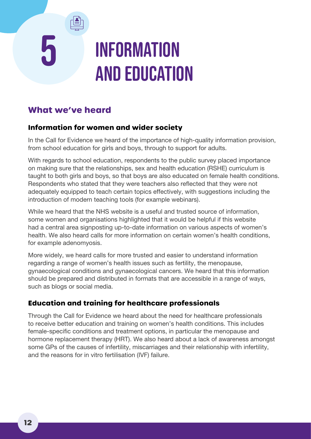# <span id="page-15-0"></span>5 Information and education

### **What we've heard**

### **Information for women and wider society**

In the Call for Evidence we heard of the importance of high-quality information provision, from school education for girls and boys, through to support for adults.

With regards to school education, respondents to the public survey placed importance on making sure that the relationships, sex and health education (RSHE) curriculum is taught to both girls and boys, so that boys are also educated on female health conditions. Respondents who stated that they were teachers also reflected that they were not adequately equipped to teach certain topics effectively, with suggestions including the introduction of modern teaching tools (for example webinars).

While we heard that the NHS website is a useful and trusted source of information, some women and organisations highlighted that it would be helpful if this website had a central area signposting up-to-date information on various aspects of women's health. We also heard calls for more information on certain women's health conditions, for example adenomyosis.

More widely, we heard calls for more trusted and easier to understand information regarding a range of women's health issues such as fertility, the menopause, gynaecological conditions and gynaecological cancers. We heard that this information should be prepared and distributed in formats that are accessible in a range of ways, such as blogs or social media.

### **Education and training for healthcare professionals**

Through the Call for Evidence we heard about the need for healthcare professionals to receive better education and training on women's health conditions. This includes female-specific conditions and treatment options, in particular the menopause and hormone replacement therapy (HRT). We also heard about a lack of awareness amongst some GPs of the causes of infertility, miscarriages and their relationship with infertility, and the reasons for in vitro fertilisation (IVF) failure.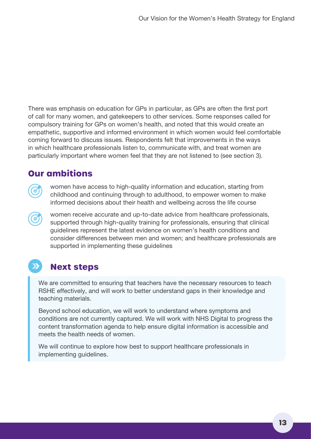There was emphasis on education for GPs in particular, as GPs are often the first port of call for many women, and gatekeepers to other services. Some responses called for compulsory training for GPs on women's health, and noted that this would create an empathetic, supportive and informed environment in which women would feel comfortable coming forward to discuss issues. Respondents felt that improvements in the ways in which healthcare professionals listen to, communicate with, and treat women are particularly important where women feel that they are not listened to (see section 3).

### **Our ambitions**



women have access to high-quality information and education, starting from childhood and continuing through to adulthood, to empower women to make informed decisions about their health and wellbeing across the life course

women receive accurate and up-to-date advice from healthcare professionals, supported through high-quality training for professionals, ensuring that clinical guidelines represent the latest evidence on women's health conditions and consider differences between men and women; and healthcare professionals are supported in implementing these guidelines

# **Next steps**

We are committed to ensuring that teachers have the necessary resources to teach RSHE effectively, and will work to better understand gaps in their knowledge and teaching materials.

Beyond school education, we will work to understand where symptoms and conditions are not currently captured. We will work with NHS Digital to progress the content transformation agenda to help ensure digital information is accessible and meets the health needs of women.

We will continue to explore how best to support healthcare professionals in implementing guidelines.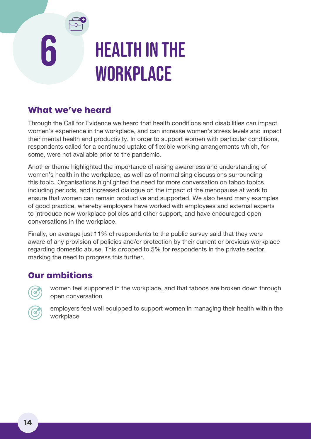# <span id="page-17-0"></span>**HEALTH IN THE WORKPLACE**

### **What we've heard**

Through the Call for Evidence we heard that health conditions and disabilities can impact women's experience in the workplace, and can increase women's stress levels and impact their mental health and productivity. In order to support women with particular conditions, respondents called for a continued uptake of flexible working arrangements which, for some, were not available prior to the pandemic.

Another theme highlighted the importance of raising awareness and understanding of women's health in the workplace, as well as of normalising discussions surrounding this topic. Organisations highlighted the need for more conversation on taboo topics including periods, and increased dialogue on the impact of the menopause at work to ensure that women can remain productive and supported. We also heard many examples of good practice, whereby employers have worked with employees and external experts to introduce new workplace policies and other support, and have encouraged open conversations in the workplace.

Finally, on average just 11% of respondents to the public survey said that they were aware of any provision of policies and/or protection by their current or previous workplace regarding domestic abuse. This dropped to 5% for respondents in the private sector, marking the need to progress this further.

### **Our ambitions**

women feel supported in the workplace, and that taboos are broken down through open conversation



employers feel well equipped to support women in managing their health within the workplace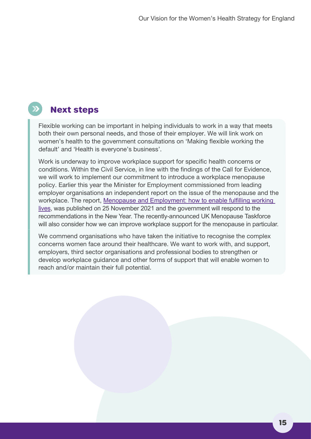### **Next steps**

Flexible working can be important in helping individuals to work in a way that meets both their own personal needs, and those of their employer. We will link work on women's health to the government consultations on 'Making flexible working the default' and 'Health is everyone's business'.

Work is underway to improve workplace support for specific health concerns or conditions. Within the Civil Service, in line with the findings of the Call for Evidence, we will work to implement our commitment to introduce a workplace menopause policy. Earlier this year the Minister for Employment commissioned from leading employer organisations an independent report on the issue of the menopause and the workplace. The report, Menopause and Employment: how to enable fulfilling working [lives,](https://www.thephoenixgroup.com/views-insights/menopause-and-employment-how-enable-fulfilling-working-lives) was published on 25 November 2021 and the government will respond to the recommendations in the New Year. The recently-announced UK Menopause Taskforce will also consider how we can improve workplace support for the menopause in particular.

We commend organisations who have taken the initiative to recognise the complex concerns women face around their healthcare. We want to work with, and support, employers, third sector organisations and professional bodies to strengthen or develop workplace guidance and other forms of support that will enable women to reach and/or maintain their full potential.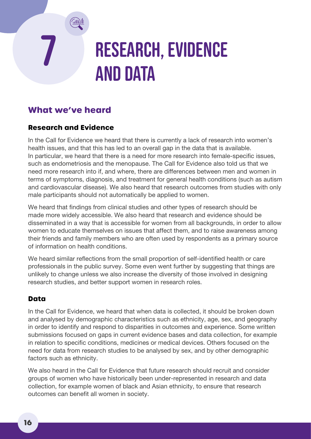# <span id="page-19-0"></span>RESEARCH, EVIDENCE and data

### **What we've heard**

### **Research and Evidence**

In the Call for Evidence we heard that there is currently a lack of research into women's health issues, and that this has led to an overall gap in the data that is available. In particular, we heard that there is a need for more research into female-specific issues, such as endometriosis and the menopause. The Call for Evidence also told us that we need more research into if, and where, there are differences between men and women in terms of symptoms, diagnosis, and treatment for general health conditions (such as autism and cardiovascular disease). We also heard that research outcomes from studies with only male participants should not automatically be applied to women.

We heard that findings from clinical studies and other types of research should be made more widely accessible. We also heard that research and evidence should be disseminated in a way that is accessible for women from all backgrounds, in order to allow women to educate themselves on issues that affect them, and to raise awareness among their friends and family members who are often used by respondents as a primary source of information on health conditions.

We heard similar reflections from the small proportion of self-identified health or care professionals in the public survey. Some even went further by suggesting that things are unlikely to change unless we also increase the diversity of those involved in designing research studies, and better support women in research roles.

### **Data**

In the Call for Evidence, we heard that when data is collected, it should be broken down and analysed by demographic characteristics such as ethnicity, age, sex, and geography in order to identify and respond to disparities in outcomes and experience. Some written submissions focused on gaps in current evidence bases and data collection, for example in relation to specific conditions, medicines or medical devices. Others focused on the need for data from research studies to be analysed by sex, and by other demographic factors such as ethnicity.

We also heard in the Call for Evidence that future research should recruit and consider groups of women who have historically been under-represented in research and data collection, for example women of black and Asian ethnicity, to ensure that research outcomes can benefit all women in society.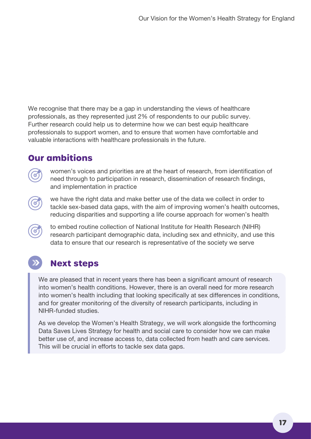We recognise that there may be a gap in understanding the views of healthcare professionals, as they represented just 2% of respondents to our public survey. Further research could help us to determine how we can best equip healthcare professionals to support women, and to ensure that women have comfortable and valuable interactions with healthcare professionals in the future.

### **Our ambitions**

women's voices and priorities are at the heart of research, from identification of need through to participation in research, dissemination of research findings, and implementation in practice

we have the right data and make better use of the data we collect in order to tackle sex-based data gaps, with the aim of improving women's health outcomes, reducing disparities and supporting a life course approach for women's health

to embed routine collection of National Institute for Health Research (NIHR) research participant demographic data, including sex and ethnicity, and use this data to ensure that our research is representative of the society we serve

# **Next steps**

We are pleased that in recent years there has been a significant amount of research into women's health conditions. However, there is an overall need for more research into women's health including that looking specifically at sex differences in conditions, and for greater monitoring of the diversity of research participants, including in NIHR-funded studies.

As we develop the Women's Health Strategy, we will work alongside the forthcoming Data Saves Lives Strategy for health and social care to consider how we can make better use of, and increase access to, data collected from heath and care services. This will be crucial in efforts to tackle sex data gaps.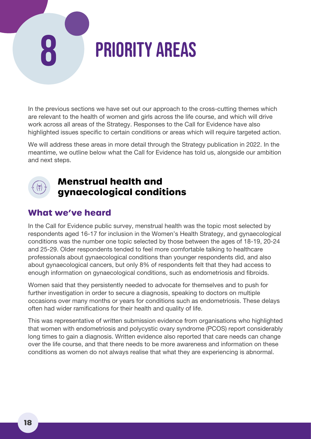# <span id="page-21-0"></span>PRIORITY AREAS

In the previous sections we have set out our approach to the cross-cutting themes which are relevant to the health of women and girls across the life course, and which will drive work across all areas of the Strategy. Responses to the Call for Evidence have also highlighted issues specific to certain conditions or areas which will require targeted action.

We will address these areas in more detail through the Strategy publication in 2022. In the meantime, we outline below what the Call for Evidence has told us, alongside our ambition and next steps.



### **Menstrual health and gynaecological conditions**

### **What we've heard**

In the Call for Evidence public survey, menstrual health was the topic most selected by respondents aged 16-17 for inclusion in the Women's Health Strategy, and gynaecological conditions was the number one topic selected by those between the ages of 18-19, 20-24 and 25-29. Older respondents tended to feel more comfortable talking to healthcare professionals about gynaecological conditions than younger respondents did, and also about gynaecological cancers, but only 8% of respondents felt that they had access to enough information on gynaecological conditions, such as endometriosis and fibroids.

Women said that they persistently needed to advocate for themselves and to push for further investigation in order to secure a diagnosis, speaking to doctors on multiple occasions over many months or years for conditions such as endometriosis. These delays often had wider ramifications for their health and quality of life.

This was representative of written submission evidence from organisations who highlighted that women with endometriosis and polycystic ovary syndrome (PCOS) report considerably long times to gain a diagnosis. Written evidence also reported that care needs can change over the life course, and that there needs to be more awareness and information on these conditions as women do not always realise that what they are experiencing is abnormal.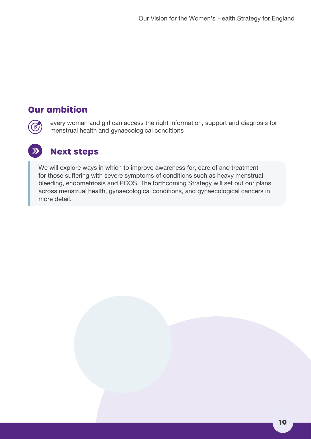### **Our ambition**

 $\bm{G}$ 

every woman and girl can access the right information, support and diagnosis for menstrual health and gynaecological conditions

### **Next steps**

We will explore ways in which to improve awareness for, care of and treatment for those suffering with severe symptoms of conditions such as heavy menstrual bleeding, endometriosis and PCOS. The forthcoming Strategy will set out our plans across menstrual health, gynaecological conditions, and gynaecological cancers in more detail.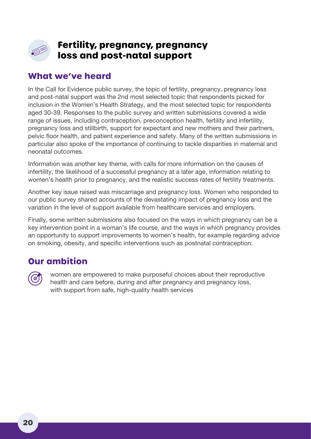<span id="page-23-0"></span>

### **Fertility, pregnancy, pregnancy loss and post-natal support**

### **What we've heard**

In the Call for Evidence public survey, the topic of fertility, pregnancy, pregnancy loss and post-natal support was the 2nd most selected topic that respondents picked for inclusion in the Women's Health Strategy, and the most selected topic for respondents aged 30-39. Responses to the public survey and written submissions covered a wide range of issues, including contraception, preconception health, fertility and infertility, pregnancy loss and stillbirth, support for expectant and new mothers and their partners, pelvic floor health, and patient experience and safety. Many of the written submissions in particular also spoke of the importance of continuing to tackle disparities in maternal and neonatal outcomes.

Information was another key theme, with calls for more information on the causes of infertility, the likelihood of a successful pregnancy at a later age, information relating to women's health prior to pregnancy, and the realistic success rates of fertility treatments.

Another key issue raised was miscarriage and pregnancy loss. Women who responded to our public survey shared accounts of the devastating impact of pregnancy loss and the variation in the level of support available from healthcare services and employers.

Finally, some written submissions also focused on the ways in which pregnancy can be a key intervention point in a woman's life course, and the ways in which pregnancy provides an opportunity to support improvements to women's health, for example regarding advice on smoking, obesity, and specific interventions such as postnatal contraception.

### **Our ambition**



women are empowered to make purposeful choices about their reproductive health and care before, during and after pregnancy and pregnancy loss, with support from safe, high-quality health services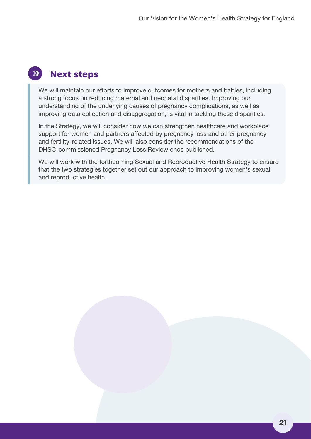### **Next steps**

We will maintain our efforts to improve outcomes for mothers and babies, including a strong focus on reducing maternal and neonatal disparities. Improving our understanding of the underlying causes of pregnancy complications, as well as improving data collection and disaggregation, is vital in tackling these disparities.

In the Strategy, we will consider how we can strengthen healthcare and workplace support for women and partners affected by pregnancy loss and other pregnancy and fertility-related issues. We will also consider the recommendations of the DHSC-commissioned Pregnancy Loss Review once published.

We will work with the forthcoming Sexual and Reproductive Health Strategy to ensure that the two strategies together set out our approach to improving women's sexual and reproductive health.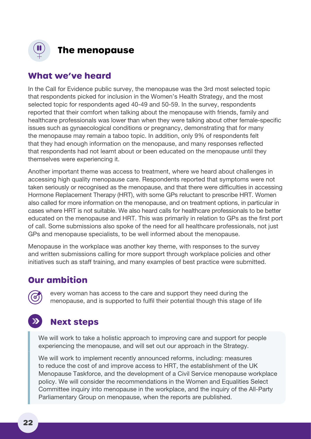<span id="page-25-0"></span>

### **The menopause**

### **What we've heard**

In the Call for Evidence public survey, the menopause was the 3rd most selected topic that respondents picked for inclusion in the Women's Health Strategy, and the most selected topic for respondents aged 40-49 and 50-59. In the survey, respondents reported that their comfort when talking about the menopause with friends, family and healthcare professionals was lower than when they were talking about other female-specific issues such as gynaecological conditions or pregnancy, demonstrating that for many the menopause may remain a taboo topic. In addition, only 9% of respondents felt that they had enough information on the menopause, and many responses reflected that respondents had not learnt about or been educated on the menopause until they themselves were experiencing it.

Another important theme was access to treatment, where we heard about challenges in accessing high quality menopause care. Respondents reported that symptoms were not taken seriously or recognised as the menopause, and that there were difficulties in accessing Hormone Replacement Therapy (HRT), with some GPs reluctant to prescribe HRT. Women also called for more information on the menopause, and on treatment options, in particular in cases where HRT is not suitable. We also heard calls for healthcare professionals to be better educated on the menopause and HRT. This was primarily in relation to GPs as the first port of call. Some submissions also spoke of the need for all healthcare professionals, not just GPs and menopause specialists, to be well informed about the menopause.

Menopause in the workplace was another key theme, with responses to the survey and written submissions calling for more support through workplace policies and other initiatives such as staff training, and many examples of best practice were submitted.

### **Our ambition**

every woman has access to the care and support they need during the menopause, and is supported to fulfil their potential though this stage of life

# **Next steps**

We will work to take a holistic approach to improving care and support for people experiencing the menopause, and will set out our approach in the Strategy.

We will work to implement recently announced reforms, including: measures to reduce the cost of and improve access to HRT, the establishment of the UK Menopause Taskforce, and the development of a Civil Service menopause workplace policy. We will consider the recommendations in the Women and Equalities Select Committee inquiry into menopause in the workplace, and the inquiry of the All-Party Parliamentary Group on menopause, when the reports are published.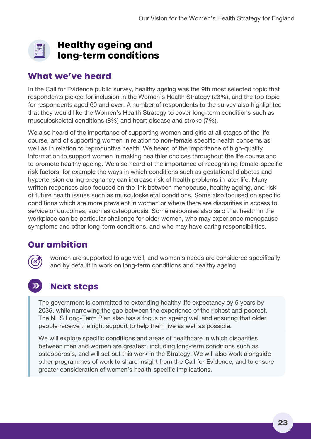<span id="page-26-0"></span>

### **Healthy ageing and long-term conditions**

### **What we've heard**

In the Call for Evidence public survey, healthy ageing was the 9th most selected topic that respondents picked for inclusion in the Women's Health Strategy (23%), and the top topic for respondents aged 60 and over. A number of respondents to the survey also highlighted that they would like the Women's Health Strategy to cover long-term conditions such as musculoskeletal conditions (8%) and heart disease and stroke (7%).

We also heard of the importance of supporting women and girls at all stages of the life course, and of supporting women in relation to non-female specific health concerns as well as in relation to reproductive health. We heard of the importance of high-quality information to support women in making healthier choices throughout the life course and to promote healthy ageing. We also heard of the importance of recognising female-specific risk factors, for example the ways in which conditions such as gestational diabetes and hypertension during pregnancy can increase risk of health problems in later life. Many written responses also focused on the link between menopause, healthy ageing, and risk of future health issues such as musculoskeletal conditions. Some also focused on specific conditions which are more prevalent in women or where there are disparities in access to service or outcomes, such as osteoporosis. Some responses also said that health in the workplace can be particular challenge for older women, who may experience menopause symptoms and other long-term conditions, and who may have caring responsibilities.

### **Our ambition**



women are supported to age well, and women's needs are considered specifically and by default in work on long-term conditions and healthy ageing

# **Next steps**

The government is committed to extending healthy life expectancy by 5 years by 2035, while narrowing the gap between the experience of the richest and poorest. The NHS Long-Term Plan also has a focus on ageing well and ensuring that older people receive the right support to help them live as well as possible.

We will explore specific conditions and areas of healthcare in which disparities between men and women are greatest, including long-term conditions such as osteoporosis, and will set out this work in the Strategy. We will also work alongside other programmes of work to share insight from the Call for Evidence, and to ensure greater consideration of women's health-specific implications.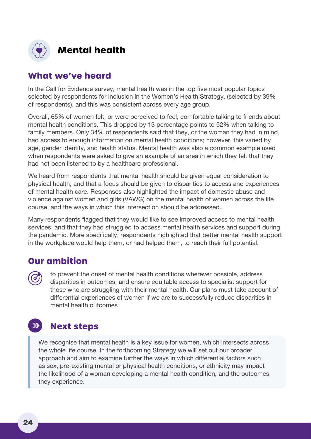<span id="page-27-0"></span>

### **Mental health**

### **What we've heard**

In the Call for Evidence survey, mental health was in the top five most popular topics selected by respondents for inclusion in the Women's Health Strategy, (selected by 39% of respondents), and this was consistent across every age group.

Overall, 65% of women felt, or were perceived to feel, comfortable talking to friends about mental health conditions. This dropped by 13 percentage points to 52% when talking to family members. Only 34% of respondents said that they, or the woman they had in mind, had access to enough information on mental health conditions; however, this varied by age, gender identity, and health status. Mental health was also a common example used when respondents were asked to give an example of an area in which they felt that they had not been listened to by a healthcare professional.

We heard from respondents that mental health should be given equal consideration to physical health, and that a focus should be given to disparities to access and experiences of mental health care. Responses also highlighted the impact of domestic abuse and violence against women and girls (VAWG) on the mental health of women across the life course, and the ways in which this intersection should be addressed.

Many respondents flagged that they would like to see improved access to mental health services, and that they had struggled to access mental health services and support during the pandemic. More specifically, respondents highlighted that better mental health support in the workplace would help them, or had helped them, to reach their full potential.

### **Our ambition**

to prevent the onset of mental health conditions wherever possible, address disparities in outcomes, and ensure equitable access to specialist support for those who are struggling with their mental health. Our plans must take account of differential experiences of women if we are to successfully reduce disparities in mental health outcomes

#### $\sum$ **Next steps**

We recognise that mental health is a key issue for women, which intersects across the whole life course. In the forthcoming Strategy we will set out our broader approach and aim to examine further the ways in which differential factors such as sex, pre-existing mental or physical health conditions, or ethnicity may impact the likelihood of a woman developing a mental health condition, and the outcomes they experience.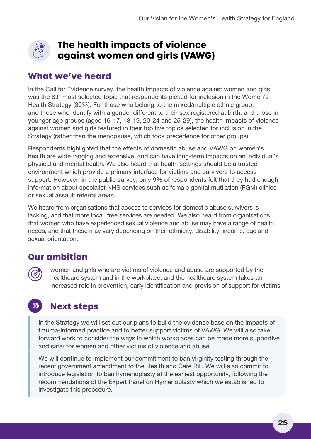<span id="page-28-0"></span>

### **The health impacts of violence against women and girls (VAWG)**

### **What we've heard**

In the Call for Evidence survey, the health impacts of violence against women and girls was the 8th most selected topic that respondents picked for inclusion in the Women's Health Strategy (30%). For those who belong to the mixed/multiple ethnic group, and those who identify with a gender different to their sex registered at birth, and those in younger age groups (aged 16-17, 18-19, 20-24 and 25-29), the health impacts of violence against women and girls featured in their top five topics selected for inclusion in the Strategy (rather than the menopause, which took precedence for other groups).

Respondents highlighted that the effects of domestic abuse and VAWG on women's health are wide ranging and extensive, and can have long-term impacts on an individual's physical and mental health. We also heard that health settings should be a trusted environment which provide a primary interface for victims and survivors to access support. However, in the public survey, only 9% of respondents felt that they had enough information about specialist NHS services such as female genital mutilation (FGM) clinics or sexual assault referral areas.

We heard from organisations that access to services for domestic abuse survivors is lacking, and that more local, free services are needed. We also heard from organisations that women who have experienced sexual violence and abuse may have a range of health needs, and that these may vary depending on their ethnicity, disability, income, age and sexual orientation.

### **Our ambition**

women and girls who are victims of violence and abuse are supported by the healthcare system and in the workplace, and the healthcare system takes an increased role in prevention, early identification and provision of support for victims

#### $\sum$ **Next steps**

In the Strategy we will set out our plans to build the evidence base on the impacts of trauma-informed practice and to better support victims of VAWG. We will also take forward work to consider the ways in which workplaces can be made more supportive and safer for women and other victims of violence and abuse.

We will continue to implement our commitment to ban virginity testing through the recent government amendment to the Health and Care Bill. We will also commit to introduce legislation to ban hymenoplasty at the earliest opportunity, following the recommendations of the Expert Panel on Hymenoplasty which we established to investigate this procedure.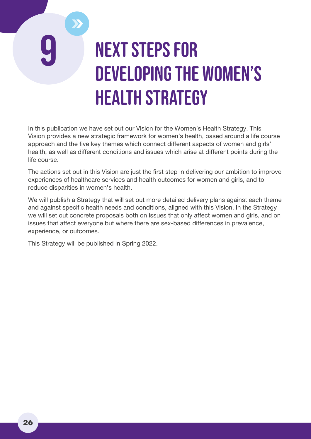# <span id="page-29-0"></span>**NEXT STEPS FOR** developing the Women's Health Strategy

In this publication we have set out our Vision for the Women's Health Strategy. This Vision provides a new strategic framework for women's health, based around a life course approach and the five key themes which connect different aspects of women and girls' health, as well as different conditions and issues which arise at different points during the life course.

The actions set out in this Vision are just the first step in delivering our ambition to improve experiences of healthcare services and health outcomes for women and girls, and to reduce disparities in women's health.

We will publish a Strategy that will set out more detailed delivery plans against each theme and against specific health needs and conditions, aligned with this Vision. In the Strategy we will set out concrete proposals both on issues that only affect women and girls, and on issues that affect everyone but where there are sex-based differences in prevalence, experience, or outcomes.

This Strategy will be published in Spring 2022.